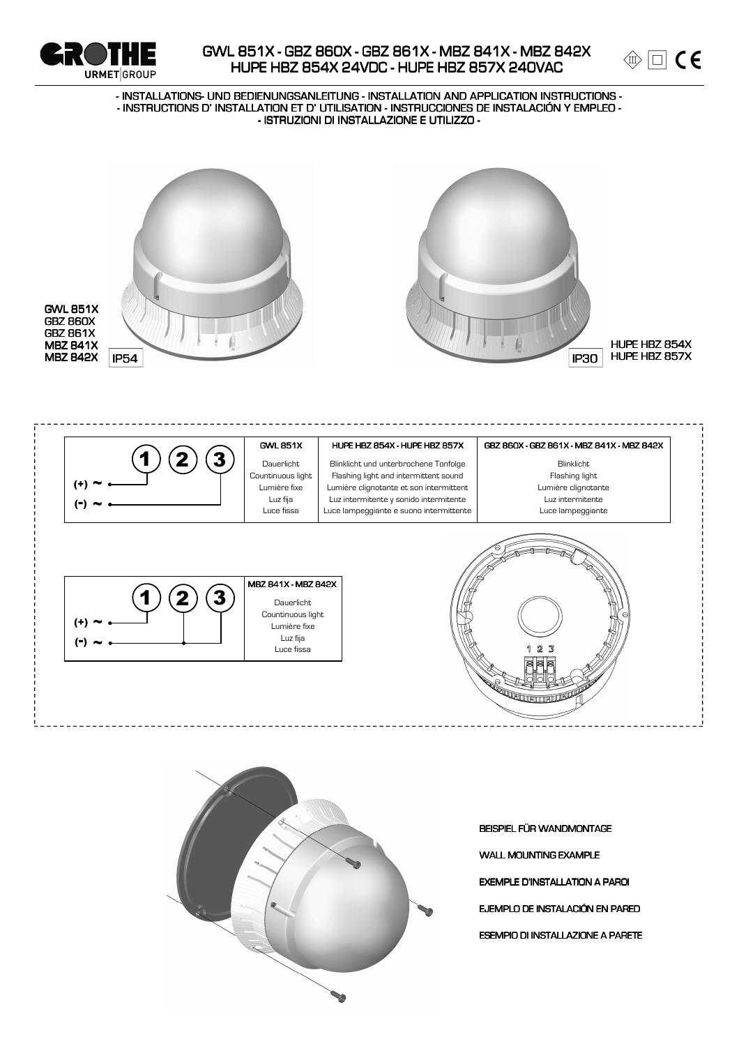



#### - INSTALLATIONS- UND BEDIENUNGSANLEITUNG - INSTALLATION AND APPLICATION INSTRUCTIONS -- INSTRUCTIONS D'INSTALLATION ET D'UTILISATION - INSTRUCCIONES DE INSTALACIÓN Y EMPLEO -- ISTRUZIONI DI INSTALLAZIONE E UTILIZZO -







BEISPIEL FÜR WANDMONTAGE

**WALL MOUNTING EXAMPLE** 

**EXEMPLE D'INSTALLATION A PAROI** 

EJEMPLO DE INSTALACIÓN EN PARED

**ESEMPIO DI INSTALLAZIONE A PARETE**